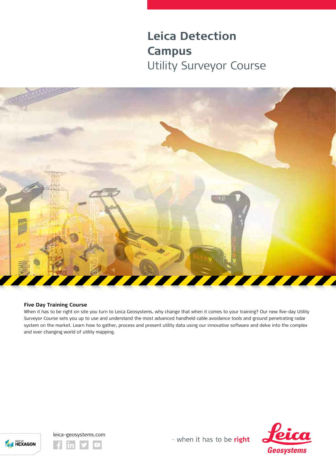# **Leica Detection Campus** Utility Surveyor Course



## **Five Day Training Course**

When it has to be right on site you turn to Leica Geosystems, why change that when it comes to your training? Our new five-day Utility Surveyor Course sets you up to use and understand the most advanced handheld cable avoidance tools and ground penetrating radar system on the market. Learn how to gather, process and present utility data using our innovative software and delve into the complex and ever changing world of utility mapping.





- when it has to be right